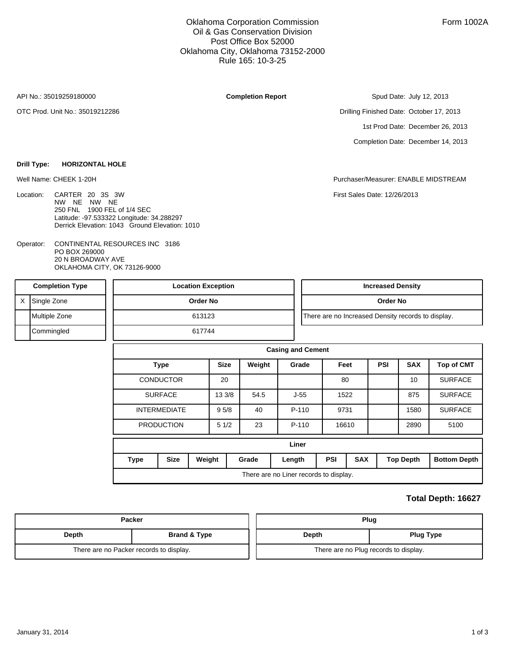Oklahoma Corporation Commission Oil & Gas Conservation Division Post Office Box 52000 Oklahoma City, Oklahoma 73152-2000 Rule 165: 10-3-25

API No.: 35019259180000

OTC Prod. Unit No.: 35019212286

**Completion Report**

1st Prod Date: December 26, 2013 Drilling Finished Date: October 17, 2013

Completion Date: December 14, 2013

Spud Date: July 12, 2013

**Drill Type: HORIZONTAL HOLE**

- Location: CARTER 20 3S 3W NW NE NW NE 250 FNL 1900 FEL of 1/4 SEC Latitude: -97.533322 Longitude: 34.288297 Derrick Elevation: 1043 Ground Elevation: 1010
- CONTINENTAL RESOURCES INC 3186 PO BOX 269000 20 N BROADWAY AVE OKLAHOMA CITY, OK 73126-9000 Operator:

Well Name: CHEEK 1-20H Purchaser/Measurer: ENABLE MIDSTREAM

First Sales Date: 12/26/2013

| <b>Completion Type</b> | <b>Location Exception</b> |  | <b>Increased Density</b>                           |  |  |  |  |
|------------------------|---------------------------|--|----------------------------------------------------|--|--|--|--|
| Single Zone            | Order No                  |  | Order No                                           |  |  |  |  |
| Multiple Zone          | 613123                    |  | There are no Increased Density records to display. |  |  |  |  |
| Commingled             | 617744                    |  |                                                    |  |  |  |  |

| <b>Casing and Cement</b>               |             |             |        |         |        |            |            |            |                   |                     |
|----------------------------------------|-------------|-------------|--------|---------|--------|------------|------------|------------|-------------------|---------------------|
| <b>Type</b>                            |             | <b>Size</b> | Weight | Grade   | Feet   |            | <b>PSI</b> | <b>SAX</b> | <b>Top of CMT</b> |                     |
| <b>CONDUCTOR</b>                       |             |             | 20     |         |        | 80         |            |            | 10                | <b>SURFACE</b>      |
| <b>SURFACE</b><br>13 3/8               |             |             | 54.5   | $J-55$  |        | 1522       |            | 875        | <b>SURFACE</b>    |                     |
| <b>INTERMEDIATE</b>                    |             | 95/8        | 40     | $P-110$ | 9731   |            |            | 1580       | <b>SURFACE</b>    |                     |
| <b>PRODUCTION</b>                      |             |             | 51/2   | 23      | P-110  |            | 16610      |            | 2890              | 5100                |
| Liner                                  |             |             |        |         |        |            |            |            |                   |                     |
| <b>Type</b>                            | <b>Size</b> | Weight      |        | Grade   | Length | <b>PSI</b> | <b>SAX</b> |            | <b>Top Depth</b>  | <b>Bottom Depth</b> |
| There are no Liner records to display. |             |             |        |         |        |            |            |            |                   |                     |

## **Total Depth: 16627**

|       | Packer                                  | Plug                                  |                  |  |  |  |
|-------|-----------------------------------------|---------------------------------------|------------------|--|--|--|
| Depth | <b>Brand &amp; Type</b>                 | Depth                                 | <b>Plug Type</b> |  |  |  |
|       | There are no Packer records to display. | There are no Plug records to display. |                  |  |  |  |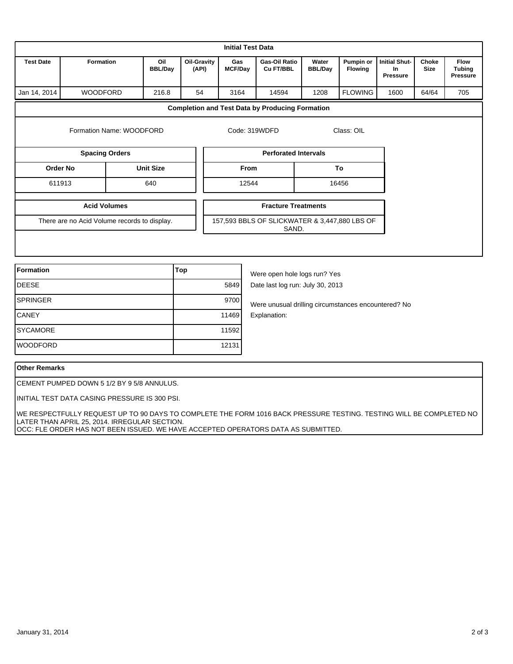| <b>Initial Test Data</b>                     |                          |                       |                             |               |                                                        |                                                        |                         |                             |                                                      |                             |                                                 |
|----------------------------------------------|--------------------------|-----------------------|-----------------------------|---------------|--------------------------------------------------------|--------------------------------------------------------|-------------------------|-----------------------------|------------------------------------------------------|-----------------------------|-------------------------------------------------|
| <b>Test Date</b><br><b>Formation</b>         |                          | Oil<br><b>BBL/Day</b> | <b>Oil-Gravity</b><br>(API) |               | Gas<br><b>MCF/Day</b>                                  | <b>Gas-Oil Ratio</b><br>Cu FT/BBL                      | Water<br><b>BBL/Day</b> | Pumpin or<br><b>Flowing</b> | <b>Initial Shut-</b><br><b>In</b><br><b>Pressure</b> | <b>Choke</b><br><b>Size</b> | <b>Flow</b><br><b>Tubing</b><br><b>Pressure</b> |
| Jan 14, 2014                                 | <b>WOODFORD</b><br>216.8 |                       | 54                          |               | 3164                                                   | 14594                                                  | 1208                    | <b>FLOWING</b>              | 1600                                                 | 64/64                       | 705                                             |
|                                              |                          |                       |                             |               |                                                        | <b>Completion and Test Data by Producing Formation</b> |                         |                             |                                                      |                             |                                                 |
|                                              | Formation Name: WOODFORD |                       |                             | Code: 319WDFD |                                                        |                                                        | Class: OIL              |                             |                                                      |                             |                                                 |
| <b>Spacing Orders</b>                        |                          |                       |                             |               |                                                        | <b>Perforated Intervals</b>                            |                         |                             |                                                      |                             |                                                 |
| <b>Order No</b><br><b>Unit Size</b>          |                          |                       | From                        |               |                                                        | To                                                     |                         |                             |                                                      |                             |                                                 |
| 611913                                       |                          | 640                   |                             |               | 12544                                                  |                                                        | 16456                   |                             |                                                      |                             |                                                 |
| <b>Acid Volumes</b>                          |                          |                       |                             |               | <b>Fracture Treatments</b>                             |                                                        |                         |                             |                                                      |                             |                                                 |
| There are no Acid Volume records to display. |                          |                       |                             |               | 157,593 BBLS OF SLICKWATER & 3,447,880 LBS OF<br>SAND. |                                                        |                         |                             |                                                      |                             |                                                 |
|                                              |                          |                       |                             |               |                                                        |                                                        |                         |                             |                                                      |                             |                                                 |
|                                              |                          |                       |                             |               |                                                        |                                                        |                         |                             |                                                      |                             |                                                 |

| Formation       | Top   | Were open hole logs run? Yes                        |
|-----------------|-------|-----------------------------------------------------|
| <b>DEESE</b>    | 5849  | Date last log run: July 30, 2013                    |
| <b>SPRINGER</b> | 9700  | Were unusual drilling circumstances encountered? No |
| <b>CANEY</b>    | 11469 | Explanation:                                        |
| <b>SYCAMORE</b> | 11592 |                                                     |
| <b>WOODFORD</b> | 12131 |                                                     |

## **Other Remarks**

CEMENT PUMPED DOWN 5 1/2 BY 9 5/8 ANNULUS.

INITIAL TEST DATA CASING PRESSURE IS 300 PSI.

 WE RESPECTFULLY REQUEST UP TO 90 DAYS TO COMPLETE THE FORM 1016 BACK PRESSURE TESTING. TESTING WILL BE COMPLETED NO LATER THAN APRIL 25, 2014. IRREGULAR SECTION. OCC: FLE ORDER HAS NOT BEEN ISSUED. WE HAVE ACCEPTED OPERATORS DATA AS SUBMITTED.